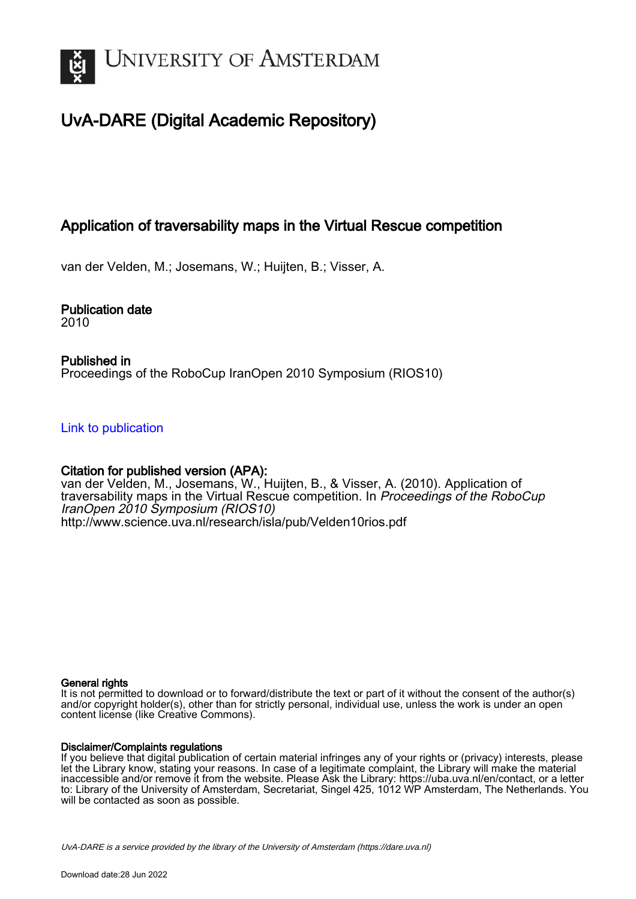

# UvA-DARE (Digital Academic Repository)

## Application of traversability maps in the Virtual Rescue competition

van der Velden, M.; Josemans, W.; Huijten, B.; Visser, A.

Publication date

2010

### Published in Proceedings of the RoboCup IranOpen 2010 Symposium (RIOS10)

[Link to publication](https://dare.uva.nl/personal/pure/en/publications/application-of-traversability-maps-in-the-virtual-rescue-competition(d588d258-572e-4f8e-807e-43bd64419a90).html)

### Citation for published version (APA):

van der Velden, M., Josemans, W., Huijten, B., & Visser, A. (2010). Application of traversability maps in the Virtual Rescue competition. In Proceedings of the RoboCup IranOpen 2010 Symposium (RIOS10) <http://www.science.uva.nl/research/isla/pub/Velden10rios.pdf>

#### General rights

It is not permitted to download or to forward/distribute the text or part of it without the consent of the author(s) and/or copyright holder(s), other than for strictly personal, individual use, unless the work is under an open content license (like Creative Commons).

#### Disclaimer/Complaints regulations

If you believe that digital publication of certain material infringes any of your rights or (privacy) interests, please let the Library know, stating your reasons. In case of a legitimate complaint, the Library will make the material inaccessible and/or remove it from the website. Please Ask the Library: https://uba.uva.nl/en/contact, or a letter to: Library of the University of Amsterdam, Secretariat, Singel 425, 1012 WP Amsterdam, The Netherlands. You will be contacted as soon as possible.

UvA-DARE is a service provided by the library of the University of Amsterdam (http*s*://dare.uva.nl)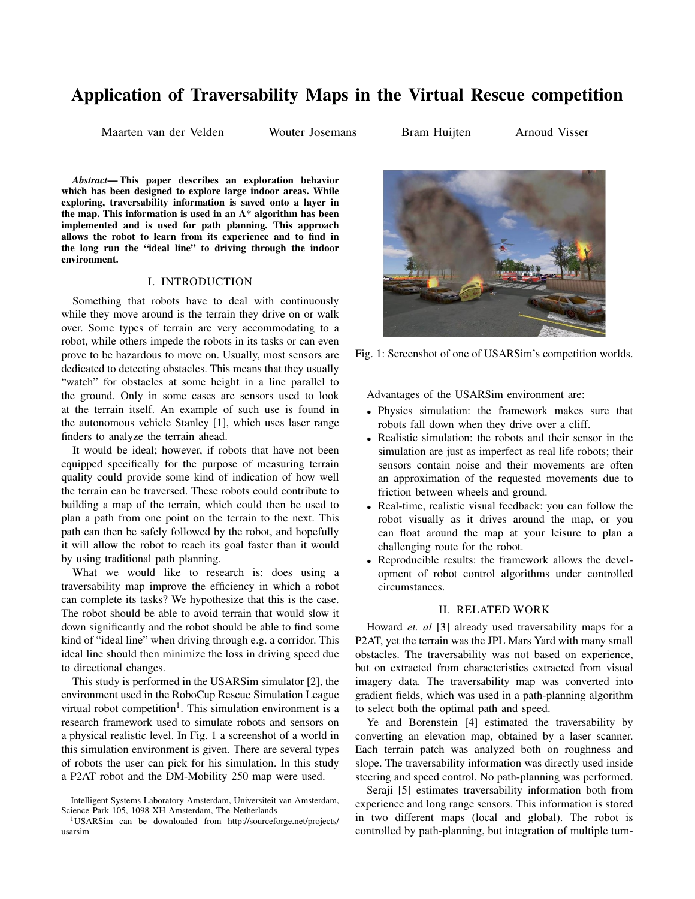## Application of Traversability Maps in the Virtual Rescue competition

Maarten van der Velden Wouter Josemans Bram Huijten Arnoud Visser

*Abstract*— This paper describes an exploration behavior which has been designed to explore large indoor areas. While exploring, traversability information is saved onto a layer in the map. This information is used in an A\* algorithm has been implemented and is used for path planning. This approach allows the robot to learn from its experience and to find in the long run the "ideal line" to driving through the indoor environment.

#### I. INTRODUCTION

Something that robots have to deal with continuously while they move around is the terrain they drive on or walk over. Some types of terrain are very accommodating to a robot, while others impede the robots in its tasks or can even prove to be hazardous to move on. Usually, most sensors are dedicated to detecting obstacles. This means that they usually "watch" for obstacles at some height in a line parallel to the ground. Only in some cases are sensors used to look at the terrain itself. An example of such use is found in the autonomous vehicle Stanley [1], which uses laser range finders to analyze the terrain ahead.

It would be ideal; however, if robots that have not been equipped specifically for the purpose of measuring terrain quality could provide some kind of indication of how well the terrain can be traversed. These robots could contribute to building a map of the terrain, which could then be used to plan a path from one point on the terrain to the next. This path can then be safely followed by the robot, and hopefully it will allow the robot to reach its goal faster than it would by using traditional path planning.

What we would like to research is: does using a traversability map improve the efficiency in which a robot can complete its tasks? We hypothesize that this is the case. The robot should be able to avoid terrain that would slow it down significantly and the robot should be able to find some kind of "ideal line" when driving through e.g. a corridor. This ideal line should then minimize the loss in driving speed due to directional changes.

This study is performed in the USARSim simulator [2], the environment used in the RoboCup Rescue Simulation League virtual robot competition<sup>1</sup>. This simulation environment is a research framework used to simulate robots and sensors on a physical realistic level. In Fig. 1 a screenshot of a world in this simulation environment is given. There are several types of robots the user can pick for his simulation. In this study a P2AT robot and the DM-Mobility 250 map were used.



Fig. 1: Screenshot of one of USARSim's competition worlds.

Advantages of the USARSim environment are:

- Physics simulation: the framework makes sure that robots fall down when they drive over a cliff.
- Realistic simulation: the robots and their sensor in the simulation are just as imperfect as real life robots; their sensors contain noise and their movements are often an approximation of the requested movements due to friction between wheels and ground.
- Real-time, realistic visual feedback: you can follow the robot visually as it drives around the map, or you can float around the map at your leisure to plan a challenging route for the robot.
- Reproducible results: the framework allows the development of robot control algorithms under controlled circumstances.

#### II. RELATED WORK

Howard *et. al* [3] already used traversability maps for a P2AT, yet the terrain was the JPL Mars Yard with many small obstacles. The traversability was not based on experience, but on extracted from characteristics extracted from visual imagery data. The traversability map was converted into gradient fields, which was used in a path-planning algorithm to select both the optimal path and speed.

Ye and Borenstein [4] estimated the traversability by converting an elevation map, obtained by a laser scanner. Each terrain patch was analyzed both on roughness and slope. The traversability information was directly used inside steering and speed control. No path-planning was performed.

Seraji [5] estimates traversability information both from experience and long range sensors. This information is stored in two different maps (local and global). The robot is controlled by path-planning, but integration of multiple turn-

Intelligent Systems Laboratory Amsterdam, Universiteit van Amsterdam, Science Park 105, 1098 XH Amsterdam, The Netherlands

<sup>1</sup>USARSim can be downloaded from http://sourceforge.net/projects/ usarsim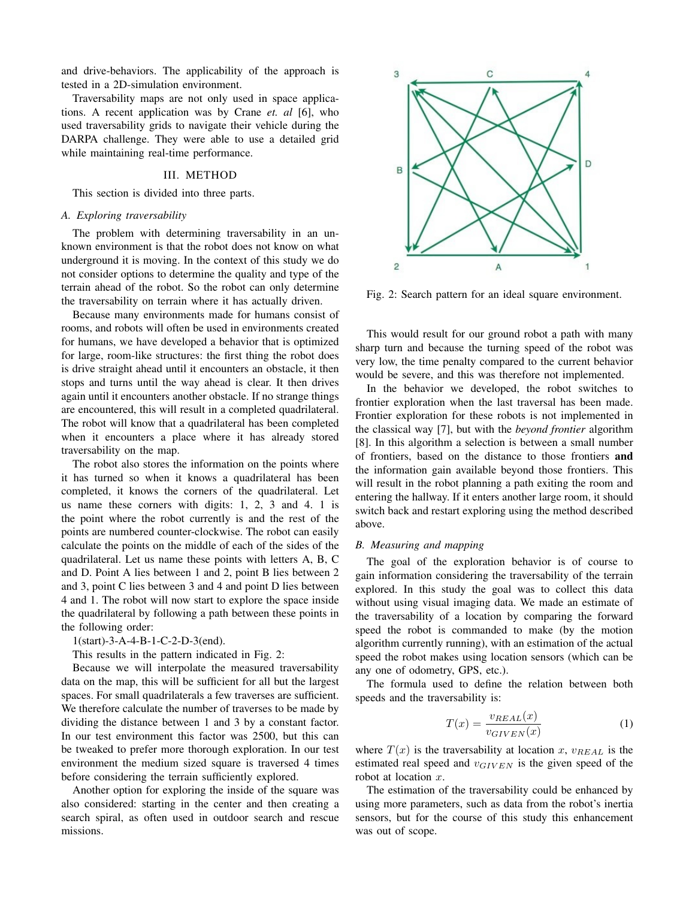and drive-behaviors. The applicability of the approach is tested in a 2D-simulation environment.

Traversability maps are not only used in space applications. A recent application was by Crane *et. al* [6], who used traversability grids to navigate their vehicle during the DARPA challenge. They were able to use a detailed grid while maintaining real-time performance.

#### III. METHOD

This section is divided into three parts.

#### *A. Exploring traversability*

The problem with determining traversability in an unknown environment is that the robot does not know on what underground it is moving. In the context of this study we do not consider options to determine the quality and type of the terrain ahead of the robot. So the robot can only determine the traversability on terrain where it has actually driven.

Because many environments made for humans consist of rooms, and robots will often be used in environments created for humans, we have developed a behavior that is optimized for large, room-like structures: the first thing the robot does is drive straight ahead until it encounters an obstacle, it then stops and turns until the way ahead is clear. It then drives again until it encounters another obstacle. If no strange things are encountered, this will result in a completed quadrilateral. The robot will know that a quadrilateral has been completed when it encounters a place where it has already stored traversability on the map.

The robot also stores the information on the points where it has turned so when it knows a quadrilateral has been completed, it knows the corners of the quadrilateral. Let us name these corners with digits: 1, 2, 3 and 4. 1 is the point where the robot currently is and the rest of the points are numbered counter-clockwise. The robot can easily calculate the points on the middle of each of the sides of the quadrilateral. Let us name these points with letters A, B, C and D. Point A lies between 1 and 2, point B lies between 2 and 3, point C lies between 3 and 4 and point D lies between 4 and 1. The robot will now start to explore the space inside the quadrilateral by following a path between these points in the following order:

#### 1(start)-3-A-4-B-1-C-2-D-3(end).

This results in the pattern indicated in Fig. 2:

Because we will interpolate the measured traversability data on the map, this will be sufficient for all but the largest spaces. For small quadrilaterals a few traverses are sufficient. We therefore calculate the number of traverses to be made by dividing the distance between 1 and 3 by a constant factor. In our test environment this factor was 2500, but this can be tweaked to prefer more thorough exploration. In our test environment the medium sized square is traversed 4 times before considering the terrain sufficiently explored.

Another option for exploring the inside of the square was also considered: starting in the center and then creating a search spiral, as often used in outdoor search and rescue missions.



Fig. 2: Search pattern for an ideal square environment.

This would result for our ground robot a path with many sharp turn and because the turning speed of the robot was very low, the time penalty compared to the current behavior would be severe, and this was therefore not implemented.

In the behavior we developed, the robot switches to frontier exploration when the last traversal has been made. Frontier exploration for these robots is not implemented in the classical way [7], but with the *beyond frontier* algorithm [8]. In this algorithm a selection is between a small number of frontiers, based on the distance to those frontiers and the information gain available beyond those frontiers. This will result in the robot planning a path exiting the room and entering the hallway. If it enters another large room, it should switch back and restart exploring using the method described above.

#### *B. Measuring and mapping*

The goal of the exploration behavior is of course to gain information considering the traversability of the terrain explored. In this study the goal was to collect this data without using visual imaging data. We made an estimate of the traversability of a location by comparing the forward speed the robot is commanded to make (by the motion algorithm currently running), with an estimation of the actual speed the robot makes using location sensors (which can be any one of odometry, GPS, etc.).

The formula used to define the relation between both speeds and the traversability is:

$$
T(x) = \frac{v_{REAL}(x)}{v_{GIVEN}(x)}
$$
(1)

where  $T(x)$  is the traversability at location x,  $v_{REAL}$  is the estimated real speed and  $v_{GIVEN}$  is the given speed of the robot at location x.

The estimation of the traversability could be enhanced by using more parameters, such as data from the robot's inertia sensors, but for the course of this study this enhancement was out of scope.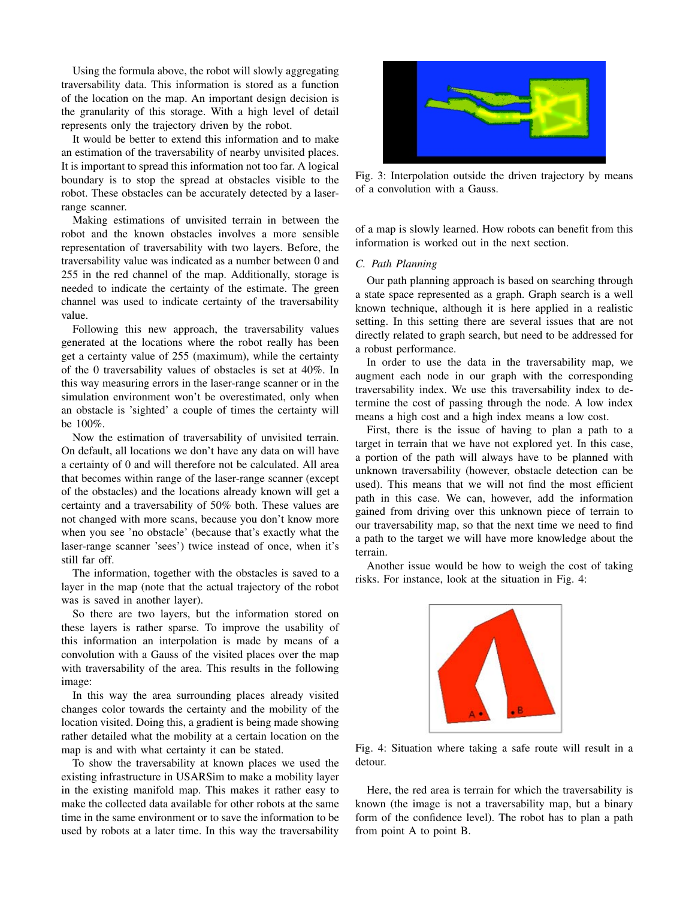Using the formula above, the robot will slowly aggregating traversability data. This information is stored as a function of the location on the map. An important design decision is the granularity of this storage. With a high level of detail represents only the trajectory driven by the robot.

It would be better to extend this information and to make an estimation of the traversability of nearby unvisited places. It is important to spread this information not too far. A logical boundary is to stop the spread at obstacles visible to the robot. These obstacles can be accurately detected by a laserrange scanner.

Making estimations of unvisited terrain in between the robot and the known obstacles involves a more sensible representation of traversability with two layers. Before, the traversability value was indicated as a number between 0 and 255 in the red channel of the map. Additionally, storage is needed to indicate the certainty of the estimate. The green channel was used to indicate certainty of the traversability value.

Following this new approach, the traversability values generated at the locations where the robot really has been get a certainty value of 255 (maximum), while the certainty of the 0 traversability values of obstacles is set at 40%. In this way measuring errors in the laser-range scanner or in the simulation environment won't be overestimated, only when an obstacle is 'sighted' a couple of times the certainty will be 100%.

Now the estimation of traversability of unvisited terrain. On default, all locations we don't have any data on will have a certainty of 0 and will therefore not be calculated. All area that becomes within range of the laser-range scanner (except of the obstacles) and the locations already known will get a certainty and a traversability of 50% both. These values are not changed with more scans, because you don't know more when you see 'no obstacle' (because that's exactly what the laser-range scanner 'sees') twice instead of once, when it's still far off.

The information, together with the obstacles is saved to a layer in the map (note that the actual trajectory of the robot was is saved in another layer).

So there are two layers, but the information stored on these layers is rather sparse. To improve the usability of this information an interpolation is made by means of a convolution with a Gauss of the visited places over the map with traversability of the area. This results in the following image:

In this way the area surrounding places already visited changes color towards the certainty and the mobility of the location visited. Doing this, a gradient is being made showing rather detailed what the mobility at a certain location on the map is and with what certainty it can be stated.

To show the traversability at known places we used the existing infrastructure in USARSim to make a mobility layer in the existing manifold map. This makes it rather easy to make the collected data available for other robots at the same time in the same environment or to save the information to be used by robots at a later time. In this way the traversability



Fig. 3: Interpolation outside the driven trajectory by means of a convolution with a Gauss.

of a map is slowly learned. How robots can benefit from this information is worked out in the next section.

#### *C. Path Planning*

Our path planning approach is based on searching through a state space represented as a graph. Graph search is a well known technique, although it is here applied in a realistic setting. In this setting there are several issues that are not directly related to graph search, but need to be addressed for a robust performance.

In order to use the data in the traversability map, we augment each node in our graph with the corresponding traversability index. We use this traversability index to determine the cost of passing through the node. A low index means a high cost and a high index means a low cost.

First, there is the issue of having to plan a path to a target in terrain that we have not explored yet. In this case, a portion of the path will always have to be planned with unknown traversability (however, obstacle detection can be used). This means that we will not find the most efficient path in this case. We can, however, add the information gained from driving over this unknown piece of terrain to our traversability map, so that the next time we need to find a path to the target we will have more knowledge about the terrain.

Another issue would be how to weigh the cost of taking risks. For instance, look at the situation in Fig. 4:



Fig. 4: Situation where taking a safe route will result in a detour.

Here, the red area is terrain for which the traversability is known (the image is not a traversability map, but a binary form of the confidence level). The robot has to plan a path from point A to point B.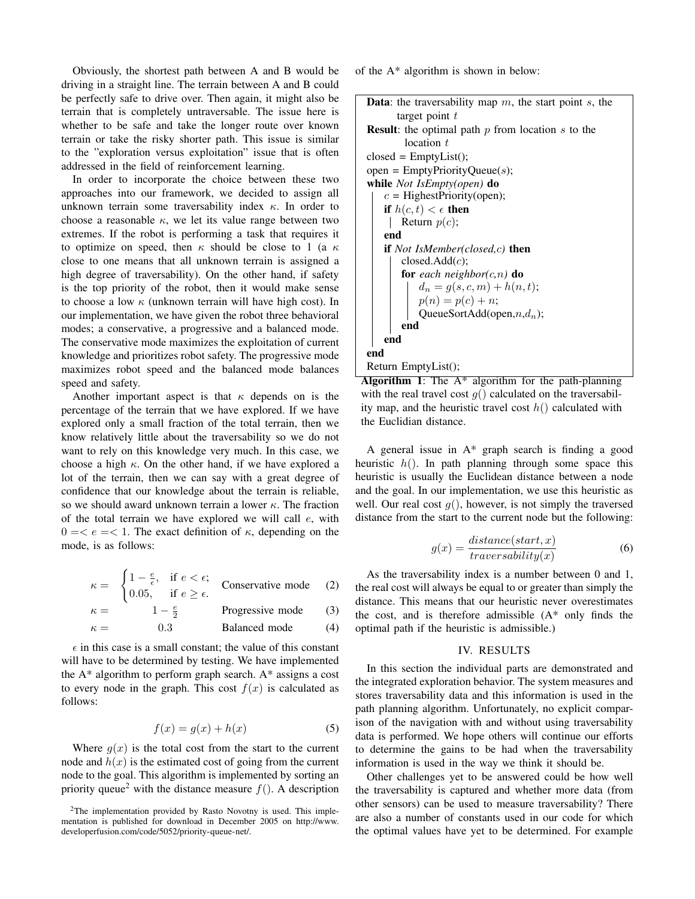Obviously, the shortest path between A and B would be driving in a straight line. The terrain between A and B could be perfectly safe to drive over. Then again, it might also be terrain that is completely untraversable. The issue here is whether to be safe and take the longer route over known terrain or take the risky shorter path. This issue is similar to the "exploration versus exploitation" issue that is often addressed in the field of reinforcement learning.

In order to incorporate the choice between these two approaches into our framework, we decided to assign all unknown terrain some traversability index  $\kappa$ . In order to choose a reasonable  $\kappa$ , we let its value range between two extremes. If the robot is performing a task that requires it to optimize on speed, then  $\kappa$  should be close to 1 (a  $\kappa$ close to one means that all unknown terrain is assigned a high degree of traversability). On the other hand, if safety is the top priority of the robot, then it would make sense to choose a low  $\kappa$  (unknown terrain will have high cost). In our implementation, we have given the robot three behavioral modes; a conservative, a progressive and a balanced mode. The conservative mode maximizes the exploitation of current knowledge and prioritizes robot safety. The progressive mode maximizes robot speed and the balanced mode balances speed and safety.

Another important aspect is that  $\kappa$  depends on is the percentage of the terrain that we have explored. If we have explored only a small fraction of the total terrain, then we know relatively little about the traversability so we do not want to rely on this knowledge very much. In this case, we choose a high  $\kappa$ . On the other hand, if we have explored a lot of the terrain, then we can say with a great degree of confidence that our knowledge about the terrain is reliable, so we should award unknown terrain a lower  $\kappa$ . The fraction of the total terrain we have explored we will call  $e$ , with  $0 = \langle e \rangle = \langle 1$ . The exact definition of  $\kappa$ , depending on the mode, is as follows:

$$
\kappa = \begin{cases} 1 - \frac{e}{\epsilon}, & \text{if } e < \epsilon; \\ 0.05, & \text{if } e \ge \epsilon. \end{cases} \quad \text{Conservative mode} \tag{2}
$$

$$
\kappa = 1 - \frac{e}{2}
$$
 Progressive mode (3)

$$
\kappa = 0.3
$$
 \tBalanced mode (4)

 $\epsilon$  in this case is a small constant; the value of this constant will have to be determined by testing. We have implemented the A\* algorithm to perform graph search. A\* assigns a cost to every node in the graph. This cost  $f(x)$  is calculated as follows:

$$
f(x) = g(x) + h(x) \tag{5}
$$

Where  $g(x)$  is the total cost from the start to the current node and  $h(x)$  is the estimated cost of going from the current node to the goal. This algorithm is implemented by sorting an priority queue<sup>2</sup> with the distance measure  $f(.)$ . A description of the A\* algorithm is shown in below:

```
Data: the traversability map m, the start point s, the
      target point tResult: the optimal path p from location s to the
        location tclosed = EmptyList();
open = EmptyPriorityQueue(s);
while Not IsEmpty(open) do
   c = HighestPriority(open);
   if h(c, t) < \epsilon then
    Return p(c);
   end
   if Not IsMember(closed,c) then
       closed.Add(c);
       for each neighbor(c,n) do
           d_n = g(s, c, m) + h(n, t);p(n) = p(c) + n;QueueSortAdd(open,n, d_n);
       end
   end
end
Return EmptyList();
```
Algorithm 1: The A\* algorithm for the path-planning with the real travel cost  $g()$  calculated on the traversability map, and the heuristic travel cost  $h()$  calculated with the Euclidian distance.

A general issue in A\* graph search is finding a good heuristic  $h()$ . In path planning through some space this heuristic is usually the Euclidean distance between a node and the goal. In our implementation, we use this heuristic as well. Our real cost  $g()$ , however, is not simply the traversed distance from the start to the current node but the following:

$$
g(x) = \frac{distance(start, x)}{traversability(x)}
$$
 (6)

As the traversability index is a number between 0 and 1, the real cost will always be equal to or greater than simply the distance. This means that our heuristic never overestimates the cost, and is therefore admissible  $(A^*)$  only finds the optimal path if the heuristic is admissible.)

#### IV. RESULTS

In this section the individual parts are demonstrated and the integrated exploration behavior. The system measures and stores traversability data and this information is used in the path planning algorithm. Unfortunately, no explicit comparison of the navigation with and without using traversability data is performed. We hope others will continue our efforts to determine the gains to be had when the traversability information is used in the way we think it should be.

Other challenges yet to be answered could be how well the traversability is captured and whether more data (from other sensors) can be used to measure traversability? There are also a number of constants used in our code for which the optimal values have yet to be determined. For example

<sup>2</sup>The implementation provided by Rasto Novotny is used. This implementation is published for download in December 2005 on http://www. developerfusion.com/code/5052/priority-queue-net/.